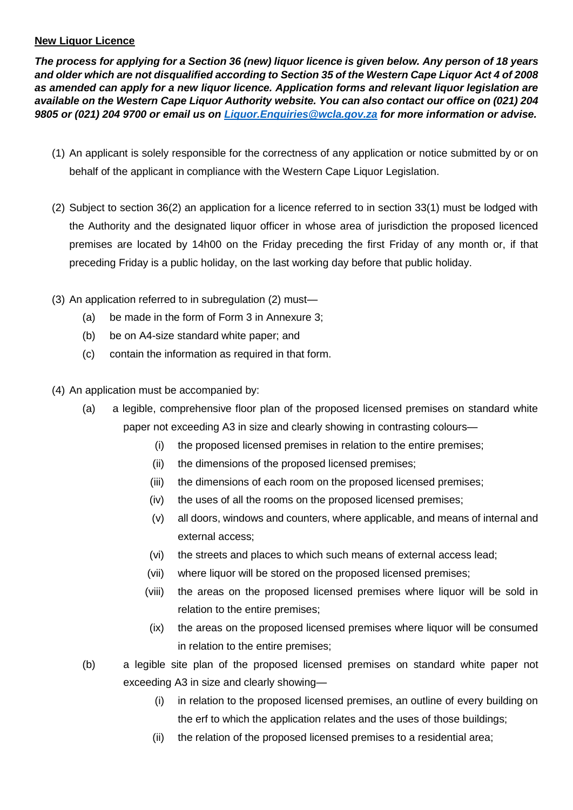## **New Liquor Licence**

*The process for applying for a Section 36 (new) liquor licence is given below. Any person of 18 years and older which are not disqualified according to Section 35 of the Western Cape Liquor Act 4 of 2008 as amended can apply for a new liquor licence. Application forms and relevant liquor legislation are available on the Western Cape Liquor Authority website. You can also contact our office on (021) 204 9805 or (021) 204 9700 or email us on [Liquor.Enquiries@wcla.gov.za](mailto:Liquor.Enquiries@wcla.gov.za) for more information or advise.* 

- (1) An applicant is solely responsible for the correctness of any application or notice submitted by or on behalf of the applicant in compliance with the Western Cape Liquor Legislation.
- (2) Subject to section 36(2) an application for a licence referred to in section 33(1) must be lodged with the Authority and the designated liquor officer in whose area of jurisdiction the proposed licenced premises are located by 14h00 on the Friday preceding the first Friday of any month or, if that preceding Friday is a public holiday, on the last working day before that public holiday.
- (3) An application referred to in subregulation (2) must—
	- (a) be made in the form of Form 3 in Annexure 3;
	- (b) be on A4-size standard white paper; and
	- (c) contain the information as required in that form.
- (4) An application must be accompanied by:
	- (a) a legible, comprehensive floor plan of the proposed licensed premises on standard white paper not exceeding A3 in size and clearly showing in contrasting colours—
		- (i) the proposed licensed premises in relation to the entire premises;
		- (ii) the dimensions of the proposed licensed premises;
		- (iii) the dimensions of each room on the proposed licensed premises;
		- (iv) the uses of all the rooms on the proposed licensed premises;
		- (v) all doors, windows and counters, where applicable, and means of internal and external access;
		- (vi) the streets and places to which such means of external access lead;
		- (vii) where liquor will be stored on the proposed licensed premises;
		- (viii) the areas on the proposed licensed premises where liquor will be sold in relation to the entire premises;
		- (ix) the areas on the proposed licensed premises where liquor will be consumed in relation to the entire premises;
	- (b) a legible site plan of the proposed licensed premises on standard white paper not exceeding A3 in size and clearly showing—
		- (i) in relation to the proposed licensed premises, an outline of every building on the erf to which the application relates and the uses of those buildings;
		- (ii) the relation of the proposed licensed premises to a residential area;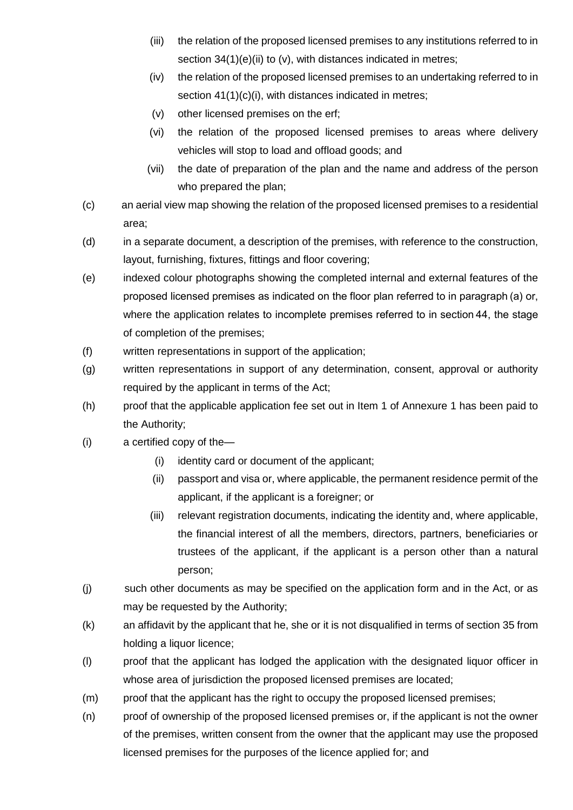- (iii) the relation of the proposed licensed premises to any institutions referred to in section 34(1)(e)(ii) to (v), with distances indicated in metres;
- (iv) the relation of the proposed licensed premises to an undertaking referred to in section 41(1)(c)(i), with distances indicated in metres;
- (v) other licensed premises on the erf;
- (vi) the relation of the proposed licensed premises to areas where delivery vehicles will stop to load and offload goods; and
- (vii) the date of preparation of the plan and the name and address of the person who prepared the plan;
- (c) an aerial view map showing the relation of the proposed licensed premises to a residential area;
- (d) in a separate document, a description of the premises, with reference to the construction, layout, furnishing, fixtures, fittings and floor covering;
- (e) indexed colour photographs showing the completed internal and external features of the proposed licensed premises as indicated on the floor plan referred to in paragraph (a) or, where the application relates to incomplete premises referred to in section 44, the stage of completion of the premises;
- (f) written representations in support of the application;
- (g) written representations in support of any determination, consent, approval or authority required by the applicant in terms of the Act;
- (h) proof that the applicable application fee set out in Item 1 of Annexure 1 has been paid to the Authority;
- (i) a certified copy of the—
	- (i) identity card or document of the applicant;
	- (ii) passport and visa or, where applicable, the permanent residence permit of the applicant, if the applicant is a foreigner; or
	- (iii) relevant registration documents, indicating the identity and, where applicable, the financial interest of all the members, directors, partners, beneficiaries or trustees of the applicant, if the applicant is a person other than a natural person;
- (j) such other documents as may be specified on the application form and in the Act, or as may be requested by the Authority;
- (k) an affidavit by the applicant that he, she or it is not disqualified in terms of section 35 from holding a liquor licence;
- (l) proof that the applicant has lodged the application with the designated liquor officer in whose area of jurisdiction the proposed licensed premises are located;
- (m) proof that the applicant has the right to occupy the proposed licensed premises;
- (n) proof of ownership of the proposed licensed premises or, if the applicant is not the owner of the premises, written consent from the owner that the applicant may use the proposed licensed premises for the purposes of the licence applied for; and